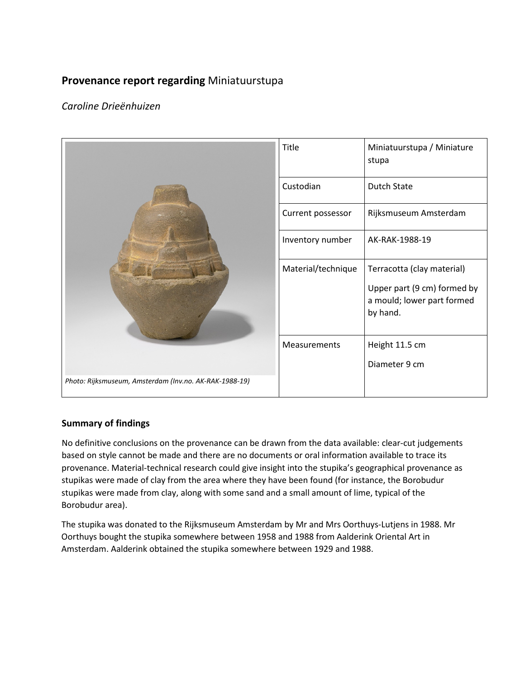# **Provenance report regarding** Miniatuurstupa

# *Caroline Drieënhuizen*

|                                                        | Title              | Miniatuurstupa / Miniature<br>stupa                                   |
|--------------------------------------------------------|--------------------|-----------------------------------------------------------------------|
|                                                        | Custodian          | <b>Dutch State</b>                                                    |
|                                                        | Current possessor  | Rijksmuseum Amsterdam                                                 |
|                                                        | Inventory number   | AK-RAK-1988-19                                                        |
|                                                        | Material/technique | Terracotta (clay material)                                            |
|                                                        |                    | Upper part (9 cm) formed by<br>a mould; lower part formed<br>by hand. |
|                                                        | Measurements       | Height 11.5 cm                                                        |
|                                                        |                    | Diameter 9 cm                                                         |
| Photo: Rijksmuseum, Amsterdam (Inv.no. AK-RAK-1988-19) |                    |                                                                       |

## **Summary of findings**

No definitive conclusions on the provenance can be drawn from the data available: clear-cut judgements based on style cannot be made and there are no documents or oral information available to trace its provenance. Material-technical research could give insight into the stupika's geographical provenance as stupikas were made of clay from the area where they have been found (for instance, the Borobudur stupikas were made from clay, along with some sand and a small amount of lime, typical of the Borobudur area).

The stupika was donated to the Rijksmuseum Amsterdam by Mr and Mrs Oorthuys-Lutjens in 1988. Mr Oorthuys bought the stupika somewhere between 1958 and 1988 from Aalderink Oriental Art in Amsterdam. Aalderink obtained the stupika somewhere between 1929 and 1988.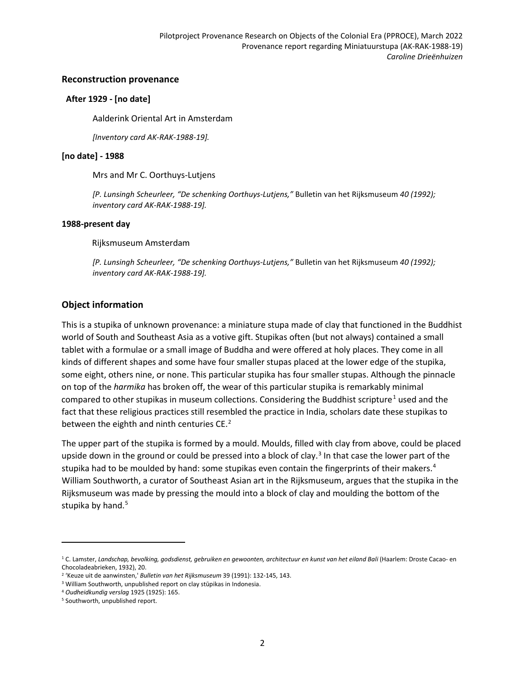#### **Reconstruction provenance**

#### **After 1929 - [no date]**

Aalderink Oriental Art in Amsterdam

*[Inventory card AK-RAK-1988-19].*

#### **[no date] - 1988**

Mrs and Mr C. Oorthuys-Lutjens

*[P. Lunsingh Scheurleer, "De schenking Oorthuys-Lutjens,"* Bulletin van het Rijksmuseum *40 (1992); inventory card AK-RAK-1988-19].*

#### **1988-present day**

Rijksmuseum Amsterdam

*[P. Lunsingh Scheurleer, "De schenking Oorthuys-Lutjens,"* Bulletin van het Rijksmuseum *40 (1992); inventory card AK-RAK-1988-19].*

### **Object information**

This is a stupika of unknown provenance: a miniature stupa made of clay that functioned in the Buddhist world of South and Southeast Asia as a votive gift. Stupikas often (but not always) contained a small tablet with a formulae or a small image of Buddha and were offered at holy places. They come in all kinds of different shapes and some have four smaller stupas placed at the lower edge of the stupika, some eight, others nine, or none. This particular stupika has four smaller stupas. Although the pinnacle on top of the *harmika* has broken off, the wear of this particular stupika is remarkably minimal compared to other stupikas in museum collections. Considering the Buddhist scripture<sup>[1](#page-1-0)</sup> used and the fact that these religious practices still resembled the practice in India, scholars date these stupikas to between the eighth and ninth centuries CE.<sup>[2](#page-1-1)</sup>

The upper part of the stupika is formed by a mould. Moulds, filled with clay from above, could be placed upside down in the ground or could be pressed into a block of clay.<sup>[3](#page-1-2)</sup> In that case the lower part of the stupika had to be moulded by hand: some stupikas even contain the fingerprints of their makers.<sup>[4](#page-1-3)</sup> William Southworth, a curator of Southeast Asian art in the Rijksmuseum, argues that the stupika in the Rijksmuseum was made by pressing the mould into a block of clay and moulding the bottom of the stupika by hand.<sup>[5](#page-1-4)</sup>

 $\overline{a}$ 

<span id="page-1-0"></span><sup>&</sup>lt;sup>1</sup>C. Lamster, Landschap, bevolking, godsdienst, gebruiken en gewoonten, architectuur en kunst van het eiland Bali (Haarlem: Droste Cacao- en Chocoladeabrieken, 1932), 20.

<span id="page-1-1"></span><sup>2</sup> 'Keuze uit de aanwinsten,' *Bulletin van het Rijksmuseum* 39 (1991): 132-145, 143.

<span id="page-1-2"></span><sup>3</sup> William Southworth, unpublished report on clay stūpikas in Indonesia.

<span id="page-1-3"></span><sup>4</sup> *Oudheidkundig verslag* 1925 (1925): 165.

<span id="page-1-4"></span><sup>5</sup> Southworth, unpublished report.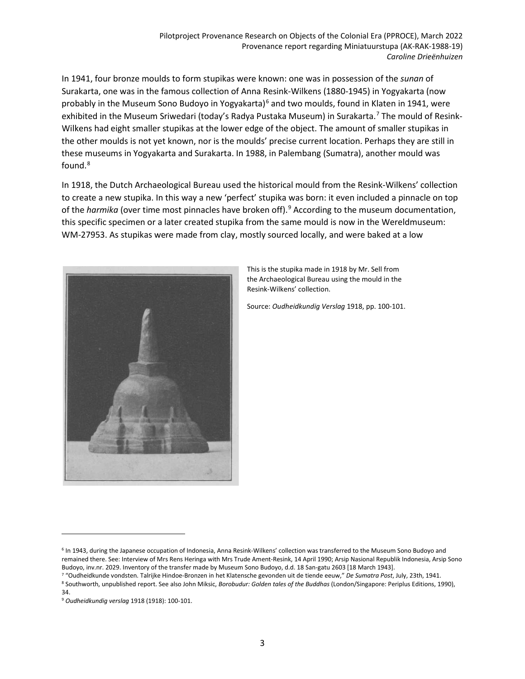In 1941, four bronze moulds to form stupikas were known: one was in possession of the *sunan* of Surakarta, one was in the famous collection of Anna Resink-Wilkens (1880-1945) in Yogyakarta (now probably in the Museum Sono Budoyo in Yogyakarta)<sup>[6](#page-2-0)</sup> and two moulds, found in Klaten in 1941, were exhibited in the Museum Sriwedari (today's Radya Pustaka Museum) in Surakarta.<sup>[7](#page-2-1)</sup> The mould of Resink-Wilkens had eight smaller stupikas at the lower edge of the object. The amount of smaller stupikas in the other moulds is not yet known, nor is the moulds' precise current location. Perhaps they are still in these museums in Yogyakarta and Surakarta. In 1988, in Palembang (Sumatra), another mould was found.<sup>[8](#page-2-2)</sup>

In 1918, the Dutch Archaeological Bureau used the historical mould from the Resink-Wilkens' collection to create a new stupika. In this way a new 'perfect' stupika was born: it even included a pinnacle on top of the *harmika* (over time most pinnacles have broken off).[9](#page-2-3) According to the museum documentation, this specific specimen or a later created stupika from the same mould is now in the Wereldmuseum: WM-27953. As stupikas were made from clay, mostly sourced locally, and were baked at a low



This is the stupika made in 1918 by Mr. Sell from the Archaeological Bureau using the mould in the Resink-Wilkens' collection.

Source: *Oudheidkundig Verslag* 1918, pp. 100-101.

l

<span id="page-2-0"></span><sup>6</sup> In 1943, during the Japanese occupation of Indonesia, Anna Resink-Wilkens' collection was transferred to the Museum Sono Budoyo and remained there. See: Interview of Mrs Rens Heringa with Mrs Trude Ament-Resink, 14 April 1990; Arsip Nasional Republik Indonesia, Arsip Sono Budoyo, inv.nr. 2029. Inventory of the transfer made by Museum Sono Budoyo, d.d. 18 San-gatu 2603 [18 March 1943].

<span id="page-2-2"></span><span id="page-2-1"></span><sup>7</sup> "Oudheidkunde vondsten. Talrijke Hindoe-Bronzen in het Klatensche gevonden uit de tiende eeuw," *De Sumatra Post*, July, 23th, 1941. <sup>8</sup> Southworth, unpublished report. See also John Miksic, *Borobudur: Golden tales of the Buddhas* (London/Singapore: Periplus Editions, 1990), 34.

<span id="page-2-3"></span><sup>9</sup> *Oudheidkundig verslag* 1918 (1918): 100-101.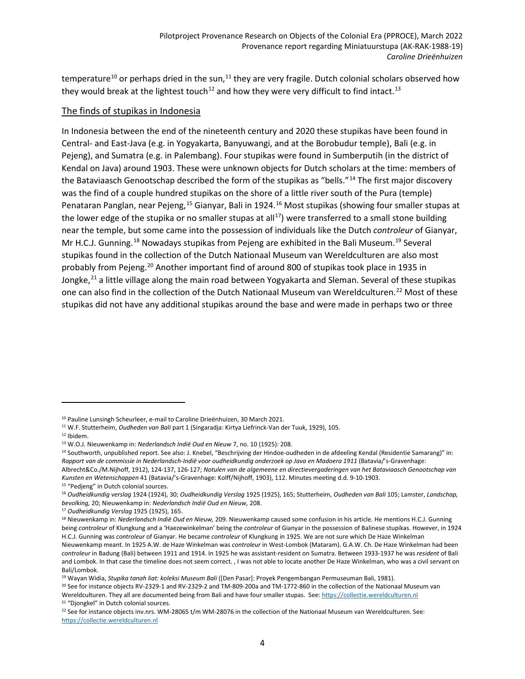temperature<sup>[10](#page-3-0)</sup> or perhaps dried in the sun,<sup>[11](#page-3-1)</sup> they are very fragile. Dutch colonial scholars observed how they would break at the lightest touch<sup>[12](#page-3-2)</sup> and how they were very difficult to find intact.<sup>[13](#page-3-3)</sup>

### The finds of stupikas in Indonesia

In Indonesia between the end of the nineteenth century and 2020 these stupikas have been found in Central- and East-Java (e.g. in Yogyakarta, Banyuwangi, and at the Borobudur temple), Bali (e.g. in Pejeng), and Sumatra (e.g. in Palembang). Four stupikas were found in Sumberputih (in the district of Kendal on Java) around 1903. These were unknown objects for Dutch scholars at the time: members of the Bataviaasch Genootschap described the form of the stupikas as "bells."<sup>[14](#page-3-4)</sup> The first major discovery was the find of a couple hundred stupikas on the shore of a little river south of the Pura (temple) Penataran Panglan, near Pejeng,[15](#page-3-5) Gianyar, Bali in 1924.[16](#page-3-6) Most stupikas (showing four smaller stupas at the lower edge of the stupika or no smaller stupas at all<sup>17</sup>) were transferred to a small stone building near the temple, but some came into the possession of individuals like the Dutch *controleur* of Gianyar, Mr H.C.J. Gunning.<sup>[18](#page-3-8)</sup> Nowadays stupikas from Pejeng are exhibited in the Bali Museum.<sup>[19](#page-3-9)</sup> Several stupikas found in the collection of the Dutch Nationaal Museum van Wereldculturen are also most probably from Pejeng.<sup>[20](#page-3-10)</sup> Another important find of around 800 of stupikas took place in 1935 in Jongke,<sup>[21](#page-3-11)</sup> a little village along the main road between Yogyakarta and Sleman. Several of these stupikas one can also find in the collection of the Dutch Nationaal Museum van Wereldculturen.<sup>[22](#page-3-12)</sup> Most of these stupikas did not have any additional stupikas around the base and were made in perhaps two or three

l

<span id="page-3-0"></span><sup>&</sup>lt;sup>10</sup> Pauline Lunsingh Scheurleer, e-mail to Caroline Drieënhuizen, 30 March 2021.

<span id="page-3-1"></span><sup>11</sup> W.F. Stutterheim, *Oudheden van Bali* part 1 (Singaradja: Kirtya Liefrinck-Van der Tuuk, 1929), 105.

<span id="page-3-3"></span><span id="page-3-2"></span><sup>12</sup> Ibidem.

<sup>13</sup> W.O.J. Nieuwenkamp in: *Nederlandsch Indië Oud en Nieuw* 7, no. 10 (1925): 208.

<span id="page-3-4"></span><sup>&</sup>lt;sup>14</sup> Southworth, unpublished report. See also: J. Knebel, "Beschrijving der Hindoe-oudheden in de afdeeling Kendal (Residentie Samarang)" in: *Rapport van de commissie in Nederlandsch-Indië voor oudheidkundig onderzoek op Java en Madoera 1911* (Batavia/'s-Gravenhage: Albrecht&Co./M.Nijhoff, 1912), 124-137, 126-127; *Notulen van de algemeene en directievergaderingen van het Bataviaasch Genootschap van*

*Kunsten en Wetenschappen* 41 (Batavia/'s-Gravenhage: Kolff/Nijhoff, 1903), 112. Minutes meeting d.d. 9-10-1903.

<span id="page-3-5"></span><sup>&</sup>lt;sup>15</sup> "Pedjeng" in Dutch colonial sources.

<span id="page-3-6"></span><sup>16</sup> *Oudheidkundig verslag* 1924 (1924), 30; *Oudheidkundig Verslag* 1925 (1925), 165; Stutterheim, *Oudheden van Bali* 105; Lamster, *Landschap, bevolking,* 20; Nieuwenkamp in: *Nederlandsch Indië Oud en Nieuw,* 208.

<span id="page-3-7"></span><sup>17</sup> *Oudheidkundig Verslag* 1925 (1925), 165.

<span id="page-3-8"></span><sup>18</sup> Nieuwenkamp in: *Nederlandsch Indië Oud en Nieuw,* 209. Nieuwenkamp caused some confusion in his article. He mentions H.C.J. Gunning being *controleur* of Klungkung and a 'Haezewinkelman' being the *controleur* of Gianyar in the possession of Balinese stupikas. However, in 1924 H.C.J. Gunning was *controleur* of Gianyar. He became *controleur* of Klungkung in 1925. We are not sure which De Haze Winkelman Nieuwenkamp meant. In 1925 A.W. de Haze Winkelman was *controleur* in West-Lombok (Mataram). G.A.W. Ch. De Haze Winkelman had been *controleur* in Badung (Bali) between 1911 and 1914. In 1925 he was assistant-resident on Sumatra. Between 1933-1937 he was *resident* of Bali

and Lombok. In that case the timeline does not seem correct. , I was not able to locate another De Haze Winkelman, who was a civil servant on Bali/Lombok.

<span id="page-3-9"></span><sup>19</sup> Wayan Widia, *Stupika tanah liat: koleksi Museum Bali* ([Den Pasar]: Proyek Pengembangan Permuseuman Bali, 1981).

<span id="page-3-10"></span><sup>20</sup> See for instance objects RV-2329-1 and RV-2329-2 and TM-809-200a and TM-1772-860 in the collection of the Nationaal Museum van Wereldculturen. They all are documented being from Bali and have four smaller stupas. See: [https://collectie.wereldculturen.nl](https://collectie.wereldculturen.nl/) <sup>21</sup> "Djongkel" in Dutch colonial sources.

<span id="page-3-12"></span><span id="page-3-11"></span> $22$  See for instance objects inv.nrs. WM-28065 t/m WM-28076 in the collection of the Nationaal Museum van Wereldculturen. See: [https://collectie.wereldculturen.nl](https://collectie.wereldculturen.nl/)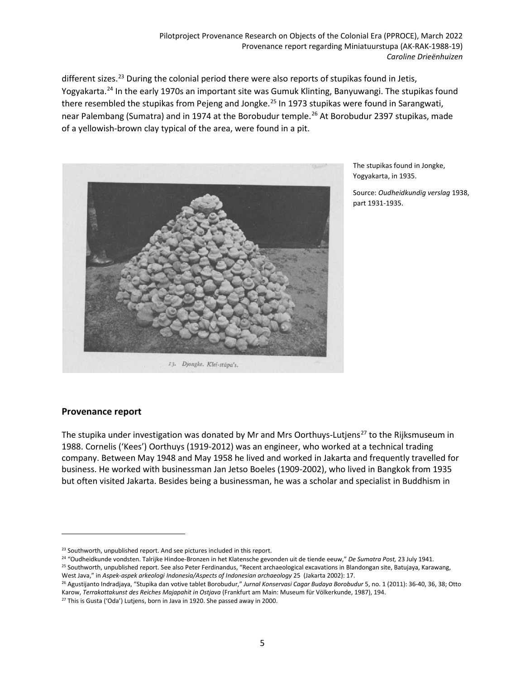different sizes.<sup>[23](#page-4-0)</sup> During the colonial period there were also reports of stupikas found in Jetis, Yogyakarta.[24](#page-4-1) In the early 1970s an important site was Gumuk Klinting, Banyuwangi. The stupikas found there resembled the stupikas from Pejeng and Jongke.<sup>[25](#page-4-2)</sup> In 1973 stupikas were found in Sarangwati, near Palembang (Sumatra) and in 1974 at the Borobudur temple.<sup>[26](#page-4-3)</sup> At Borobudur 2397 stupikas, made of a yellowish-brown clay typical of the area, were found in a pit.



The stupikas found in Jongke, Yogyakarta, in 1935.

Source: *Oudheidkundig verslag* 1938, part 1931-1935.

# **Provenance report**

l

The stupika under investigation was donated by Mr and Mrs Oorthuys-Lutiens<sup>[27](#page-4-4)</sup> to the Rijksmuseum in 1988. Cornelis ('Kees') Oorthuys (1919-2012) was an engineer, who worked at a technical trading company. Between May 1948 and May 1958 he lived and worked in Jakarta and frequently travelled for business. He worked with businessman Jan Jetso Boeles (1909-2002), who lived in Bangkok from 1935 but often visited Jakarta. Besides being a businessman, he was a scholar and specialist in Buddhism in

<span id="page-4-1"></span><sup>24</sup> "Oudheidkunde vondsten. Talrijke Hindoe-Bronzen in het Klatensche gevonden uit de tiende eeuw," *De Sumatra Post,* 23 July 1941. <sup>25</sup> Southworth, unpublished report. See also Peter Ferdinandus, "Recent archaeological excavations in Blandongan site, Batujaya, Karawang,

<span id="page-4-0"></span><sup>&</sup>lt;sup>23</sup> Southworth, unpublished report. And see pictures included in this report.

<span id="page-4-2"></span>West Java," in *Aspek-aspek arkeologi Indonesia/Aspects of Indonesian archaeology* 25 (Jakarta 2002): 17. <sup>26</sup> Agustijanto Indradjaya, "Stupika dan votive tablet Borobudur," *Jurnal Konservasi Cagar Budaya Borobudur* 5, no. 1 (2011): 36-40, 36, 38; Otto

<span id="page-4-3"></span>Karow, *Terrakottakunst des Reiches Majapahit in Ostjava* (Frankfurt am Main: Museum für Völkerkunde, 1987), 194.

<span id="page-4-4"></span><sup>&</sup>lt;sup>27</sup> This is Gusta ('Oda') Lutjens, born in Java in 1920. She passed away in 2000.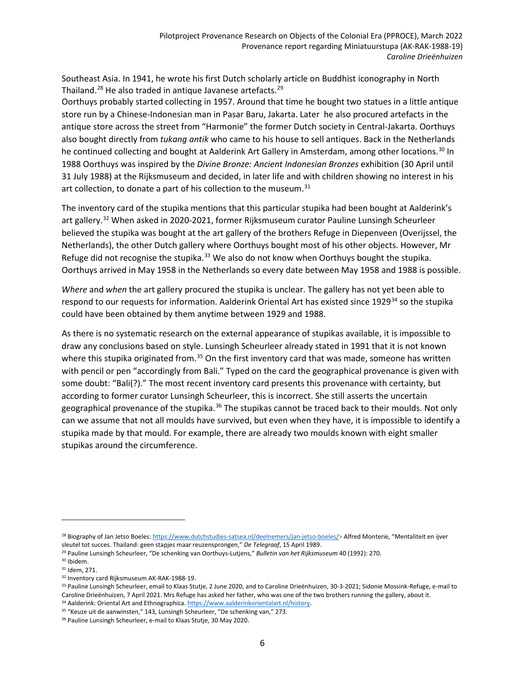Southeast Asia. In 1941, he wrote his first Dutch scholarly article on Buddhist iconography in North Thailand.<sup>[28](#page-5-0)</sup> He also traded in antique Javanese artefacts.<sup>[29](#page-5-1)</sup>

Oorthuys probably started collecting in 1957. Around that time he bought two statues in a little antique store run by a Chinese-Indonesian man in Pasar Baru, Jakarta. Later he also procured artefacts in the antique store across the street from "Harmonie" the former Dutch society in Central-Jakarta. Oorthuys also bought directly from *tukang antik* who came to his house to sell antiques. Back in the Netherlands he continued collecting and bought at Aalderink Art Gallery in Amsterdam, among other locations.<sup>[30](#page-5-2)</sup> In 1988 Oorthuys was inspired by the *Divine Bronze: Ancient Indonesian Bronzes* exhibition (30 April until 31 July 1988) at the Rijksmuseum and decided, in later life and with children showing no interest in his art collection, to donate a part of his collection to the museum.<sup>[31](#page-5-3)</sup>

The inventory card of the stupika mentions that this particular stupika had been bought at Aalderink's art gallery.<sup>[32](#page-5-4)</sup> When asked in 2020-2021, former Rijksmuseum curator Pauline Lunsingh Scheurleer believed the stupika was bought at the art gallery of the brothers Refuge in Diepenveen (Overijssel, the Netherlands), the other Dutch gallery where Oorthuys bought most of his other objects. However, Mr Refuge did not recognise the stupika.<sup>[33](#page-5-5)</sup> We also do not know when Oorthuys bought the stupika. Oorthuys arrived in May 1958 in the Netherlands so every date between May 1958 and 1988 is possible.

*Where* and *when* the art gallery procured the stupika is unclear. The gallery has not yet been able to respond to our requests for information. Aalderink Oriental Art has existed since 1929<sup>[34](#page-5-6)</sup> so the stupika could have been obtained by them anytime between 1929 and 1988.

As there is no systematic research on the external appearance of stupikas available, it is impossible to draw any conclusions based on style. Lunsingh Scheurleer already stated in 1991 that it is not known where this stupika originated from.<sup>[35](#page-5-7)</sup> On the first inventory card that was made, someone has written with pencil or pen "accordingly from Bali." Typed on the card the geographical provenance is given with some doubt: "Bali(?)." The most recent inventory card presents this provenance with certainty, but according to former curator Lunsingh Scheurleer, this is incorrect. She still asserts the uncertain geographical provenance of the stupika.<sup>[36](#page-5-8)</sup> The stupikas cannot be traced back to their moulds. Not only can we assume that not all moulds have survived, but even when they have, it is impossible to identify a stupika made by that mould. For example, there are already two moulds known with eight smaller stupikas around the circumference.

 $\overline{a}$ 

<span id="page-5-0"></span><sup>28</sup> Biography of Jan Jetso Boeles: [https://www.dutchstudies-satsea.nl/deelnemers/jan-jetso-boeles/>](https://www.dutchstudies-satsea.nl/deelnemers/jan-jetso-boeles/) Alfred Monterie, "Mentaliteit en ijver sleutel tot succes. Thailand: geen stapjes maar reuzensprongen," *De Telegraaf*, 15 April 1989.

<span id="page-5-1"></span><sup>29</sup> Pauline Lunsingh Scheurleer, "De schenking van Oorthuys-Lutjens," *Bulletin van het Rijksmuseum* 40 (1992): 270.

<span id="page-5-2"></span><sup>30</sup> Ibidem.

<span id="page-5-3"></span><sup>31</sup> Idem, 271.

<span id="page-5-4"></span><sup>32</sup> Inventory card Rijksmuseum AK-RAK-1988-19.

<span id="page-5-5"></span><sup>33</sup> Pauline Lunsingh Scheurleer, email to Klaas Stutje, 2 June 2020, and to Caroline Drieënhuizen, 30-3-2021; Sidonie Mossink-Refuge, e-mail to Caroline Drieënhuizen, 7 April 2021. Mrs Refuge has asked her father, who was one of the two brothers running the gallery, about it. 34 Aalderink: Oriental Art and Ethnographica. [https://www.aalderinkorientalart.nl/history.](https://www.aalderinkorientalart.nl/history)

<span id="page-5-7"></span><span id="page-5-6"></span><sup>&</sup>lt;sup>35</sup> "Keuze uit de aanwinsten," 143, Lunsingh Scheurleer, "De schenking van," 273.

<span id="page-5-8"></span><sup>&</sup>lt;sup>36</sup> Pauline Lunsingh Scheurleer, e-mail to Klaas Stutje, 30 May 2020.